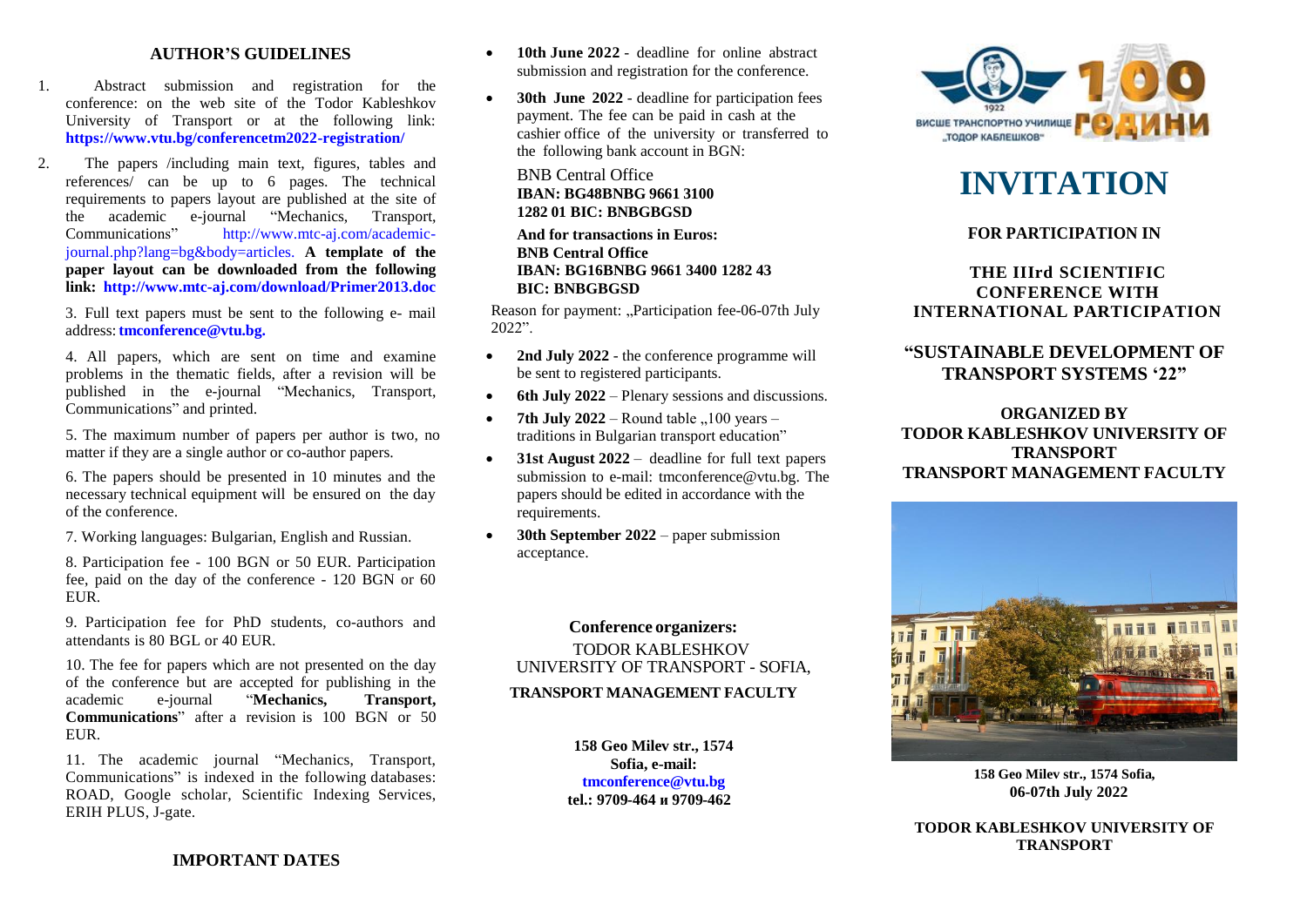#### **AUTHOR'S GUIDELINES**

- 1. Abstract submission and registration for the conference: on the web site of the Todor Kableshkov University of Transport or at the following link: **https://www.vtu.bg/conferencetm2022-registration/**
- 2. The papers /including main text, figures, tables and references/ can be up to 6 pages. The technical requirements to papers layout are published at the site of the academic e-journal "Mechanics, Transport, Communications" http://www.mtc-aj.com/academicjournal.php?lang=bg&body=articles. **A template of the paper layout can be downloaded from the following link: http://www.mtc-aj.com/download/Primer2013.doc**

3. Full text papers must be sent to the following e- mail address:**[tmconference@vtu.bg.](mailto:tmconference@vtu.bg)**

4. All papers, which are sent on time and examine problems in the thematic fields, after a revision will be published in the e-journal "Mechanics, Transport, Communications" and printed.

5. The maximum number of papers per author is two, no matter if they are a single author or co-author papers.

6. The papers should be presented in 10 minutes and the necessary technical equipment will be ensured on the day of the conference.

7. Working languages: Bulgarian, English and Russian.

8. Participation fee - 100 BGN or 50 EUR. Participation fee, paid on the day of the conference - 120 BGN or 60 EUR.

9. Participation fee for PhD students, co-authors and attendants is 80 BGL or 40 EUR.

10. The fee for papers which are not presented on the day of the conference but are accepted for publishing in the academic e-journal "**Mechanics, Transport, Communications**" after a revision is 100 BGN or 50 **EUR** 

11. The academic journal "Mechanics, Transport, Communications" is indexed in the following databases: ROAD, Google scholar, Scientific Indexing Services, ERIH PLUS, J-gate.

- **10th June 2022** deadline for online abstract submission and registration for the conference.
- **30th June 2022**  deadline for participation fees payment. The fee can be paid in cash at the cashier office of the university or transferred to the following bank account in BGN:

BNB Central Office **IBAN: BG48BNBG 9661 3100 1282 01 BIC: BNBGBGSD**

**And for transactions in Euros: BNB Central Office IBAN: BG16BNBG 9661 3400 1282 43 BIC: BNBGBGSD**

Reason for payment: "Participation fee-06-07th July 2022".

- 2nd July 2022 the conference programme will be sent to registered participants.
- **6th July 2022** Plenary sessions and discussions.
- **7th July 2022** Round table  $,100$  years traditions in Bulgarian transport education"
- **31st August 2022** deadline for full text papers submission to e-mail: [tmconference@vtu.bg.](mailto:tmconference@vtu.bg) The papers should be edited in accordance with the requirements.
- **30th September 2022** paper submission acceptance.

**Conference organizers:** TODOR KABLESHKOV UNIVERSITY OF TRANSPORT - SOFIA,

## **TRANSPORT MANAGEMENT FACULTY**

**158 Geo Milev str., 1574 Sofia, e-mail: [tmconference@vtu.bg](mailto:tmconference@vtu.bg) tel.: 9709-464 и 9709-462**



# **INVITATION**

# **FOR PARTICIPATION IN**

# **THE IIIrd SCIENTIFIC CONFERENCE WITH INTERNATIONAL PARTICIPATION**

# **"SUSTAINABLE DEVELOPMENT OF TRANSPORT SYSTEMS '22"**

**ORGANIZED BY TODOR KABLESHKOV UNIVERSITY OF TRANSPORT TRANSPORT MANAGEMENT FACULTY**



**158 Geo Milev str., 1574 Sofia, 06-07th July 2022**

**TODOR KABLESHKOV UNIVERSITY OF TRANSPORT**

**IMPORTANT DATES**